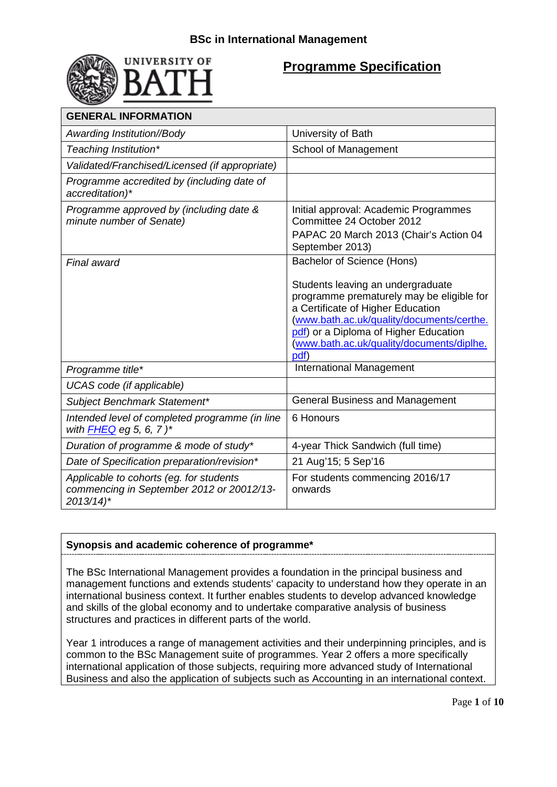



## **Programme Specification**

| <b>GENERAL INFORMATION</b>                                                                                     |                                                                                                                                                                                                                                                                                              |  |
|----------------------------------------------------------------------------------------------------------------|----------------------------------------------------------------------------------------------------------------------------------------------------------------------------------------------------------------------------------------------------------------------------------------------|--|
| Awarding Institution//Body                                                                                     | University of Bath                                                                                                                                                                                                                                                                           |  |
| Teaching Institution*                                                                                          | School of Management                                                                                                                                                                                                                                                                         |  |
| Validated/Franchised/Licensed (if appropriate)                                                                 |                                                                                                                                                                                                                                                                                              |  |
| Programme accredited by (including date of<br>accreditation)*                                                  |                                                                                                                                                                                                                                                                                              |  |
| Programme approved by (including date &<br>minute number of Senate)                                            | Initial approval: Academic Programmes<br>Committee 24 October 2012<br>PAPAC 20 March 2013 (Chair's Action 04<br>September 2013)                                                                                                                                                              |  |
| Final award                                                                                                    | Bachelor of Science (Hons)<br>Students leaving an undergraduate<br>programme prematurely may be eligible for<br>a Certificate of Higher Education<br>(www.bath.ac.uk/quality/documents/certhe.<br>pdf) or a Diploma of Higher Education<br>(www.bath.ac.uk/quality/documents/diplhe.<br>pdf) |  |
| Programme title*                                                                                               | International Management                                                                                                                                                                                                                                                                     |  |
| UCAS code (if applicable)                                                                                      |                                                                                                                                                                                                                                                                                              |  |
| Subject Benchmark Statement*                                                                                   | <b>General Business and Management</b>                                                                                                                                                                                                                                                       |  |
| Intended level of completed programme (in line<br>with $FHEQ$ eg 5, 6, 7)*                                     | 6 Honours                                                                                                                                                                                                                                                                                    |  |
| Duration of programme & mode of study*                                                                         | 4-year Thick Sandwich (full time)                                                                                                                                                                                                                                                            |  |
| Date of Specification preparation/revision*                                                                    | 21 Aug'15; 5 Sep'16                                                                                                                                                                                                                                                                          |  |
| Applicable to cohorts (eg. for students<br>commencing in September 2012 or 20012/13-<br>$2013/14$ <sup>*</sup> | For students commencing 2016/17<br>onwards                                                                                                                                                                                                                                                   |  |

## **Synopsis and academic coherence of programme\***

The BSc International Management provides a foundation in the principal business and management functions and extends students' capacity to understand how they operate in an international business context. It further enables students to develop advanced knowledge and skills of the global economy and to undertake comparative analysis of business structures and practices in different parts of the world.

Year 1 introduces a range of management activities and their underpinning principles, and is common to the BSc Management suite of programmes. Year 2 offers a more specifically international application of those subjects, requiring more advanced study of International Business and also the application of subjects such as Accounting in an international context.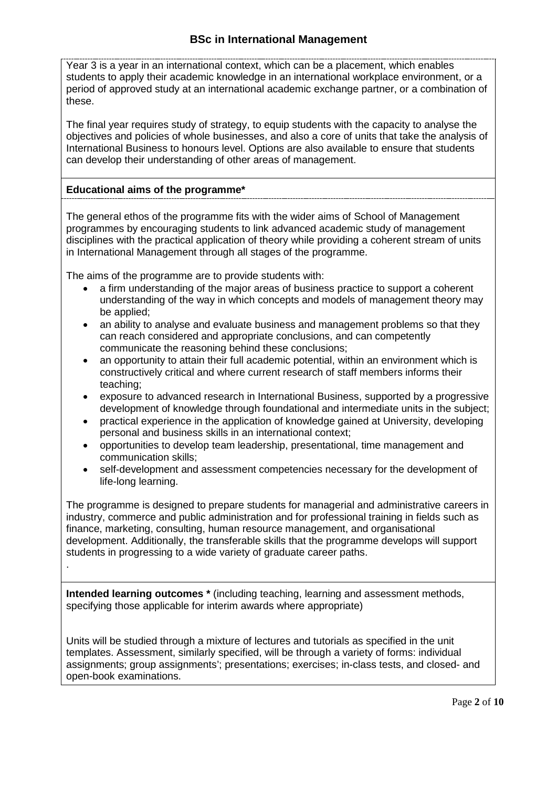Year 3 is a year in an international context, which can be a placement, which enables students to apply their academic knowledge in an international workplace environment, or a period of approved study at an international academic exchange partner, or a combination of these.

The final year requires study of strategy, to equip students with the capacity to analyse the objectives and policies of whole businesses, and also a core of units that take the analysis of International Business to honours level. Options are also available to ensure that students can develop their understanding of other areas of management.

## **Educational aims of the programme\***

.

The general ethos of the programme fits with the wider aims of School of Management programmes by encouraging students to link advanced academic study of management disciplines with the practical application of theory while providing a coherent stream of units in International Management through all stages of the programme.

The aims of the programme are to provide students with:

- a firm understanding of the major areas of business practice to support a coherent understanding of the way in which concepts and models of management theory may be applied;
- an ability to analyse and evaluate business and management problems so that they can reach considered and appropriate conclusions, and can competently communicate the reasoning behind these conclusions;
- an opportunity to attain their full academic potential, within an environment which is constructively critical and where current research of staff members informs their teaching;
- exposure to advanced research in International Business, supported by a progressive development of knowledge through foundational and intermediate units in the subject;
- practical experience in the application of knowledge gained at University, developing personal and business skills in an international context;
- opportunities to develop team leadership, presentational, time management and communication skills;
- self-development and assessment competencies necessary for the development of life-long learning.

The programme is designed to prepare students for managerial and administrative careers in industry, commerce and public administration and for professional training in fields such as finance, marketing, consulting, human resource management, and organisational development. Additionally, the transferable skills that the programme develops will support students in progressing to a wide variety of graduate career paths.

**Intended learning outcomes \*** (including teaching, learning and assessment methods, specifying those applicable for interim awards where appropriate)

Units will be studied through a mixture of lectures and tutorials as specified in the unit templates. Assessment, similarly specified, will be through a variety of forms: individual assignments; group assignments'; presentations; exercises; in-class tests, and closed- and open-book examinations.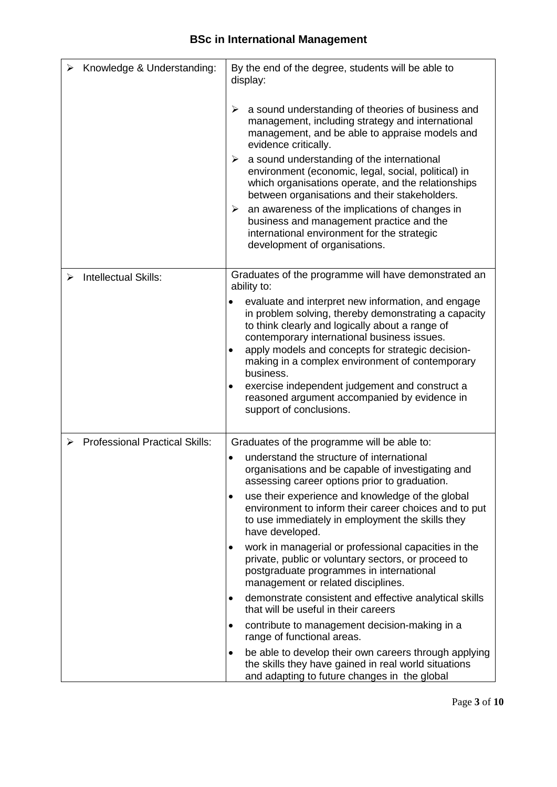|   | Knowledge & Understanding:            | By the end of the degree, students will be able to<br>display:                                                                                                                                                                                                                                                                                                                                                                                                           |
|---|---------------------------------------|--------------------------------------------------------------------------------------------------------------------------------------------------------------------------------------------------------------------------------------------------------------------------------------------------------------------------------------------------------------------------------------------------------------------------------------------------------------------------|
|   |                                       | a sound understanding of theories of business and<br>➤<br>management, including strategy and international<br>management, and be able to appraise models and<br>evidence critically.                                                                                                                                                                                                                                                                                     |
|   |                                       | a sound understanding of the international<br>➤<br>environment (economic, legal, social, political) in<br>which organisations operate, and the relationships<br>between organisations and their stakeholders.                                                                                                                                                                                                                                                            |
|   |                                       | an awareness of the implications of changes in<br>➤<br>business and management practice and the<br>international environment for the strategic<br>development of organisations.                                                                                                                                                                                                                                                                                          |
| ⋗ | <b>Intellectual Skills:</b>           | Graduates of the programme will have demonstrated an<br>ability to:                                                                                                                                                                                                                                                                                                                                                                                                      |
|   |                                       | evaluate and interpret new information, and engage<br>in problem solving, thereby demonstrating a capacity<br>to think clearly and logically about a range of<br>contemporary international business issues.<br>apply models and concepts for strategic decision-<br>٠<br>making in a complex environment of contemporary<br>business.<br>exercise independent judgement and construct a<br>٠<br>reasoned argument accompanied by evidence in<br>support of conclusions. |
| ⋗ | <b>Professional Practical Skills:</b> | Graduates of the programme will be able to:                                                                                                                                                                                                                                                                                                                                                                                                                              |
|   |                                       | understand the structure of international<br>organisations and be capable of investigating and<br>assessing career options prior to graduation.                                                                                                                                                                                                                                                                                                                          |
|   |                                       | use their experience and knowledge of the global<br>٠<br>environment to inform their career choices and to put<br>to use immediately in employment the skills they<br>have developed.                                                                                                                                                                                                                                                                                    |
|   |                                       | work in managerial or professional capacities in the<br>٠<br>private, public or voluntary sectors, or proceed to<br>postgraduate programmes in international<br>management or related disciplines.                                                                                                                                                                                                                                                                       |
|   |                                       | demonstrate consistent and effective analytical skills<br>٠<br>that will be useful in their careers                                                                                                                                                                                                                                                                                                                                                                      |
|   |                                       | contribute to management decision-making in a<br>٠<br>range of functional areas.                                                                                                                                                                                                                                                                                                                                                                                         |
|   |                                       | be able to develop their own careers through applying<br>٠<br>the skills they have gained in real world situations<br>and adapting to future changes in the global                                                                                                                                                                                                                                                                                                       |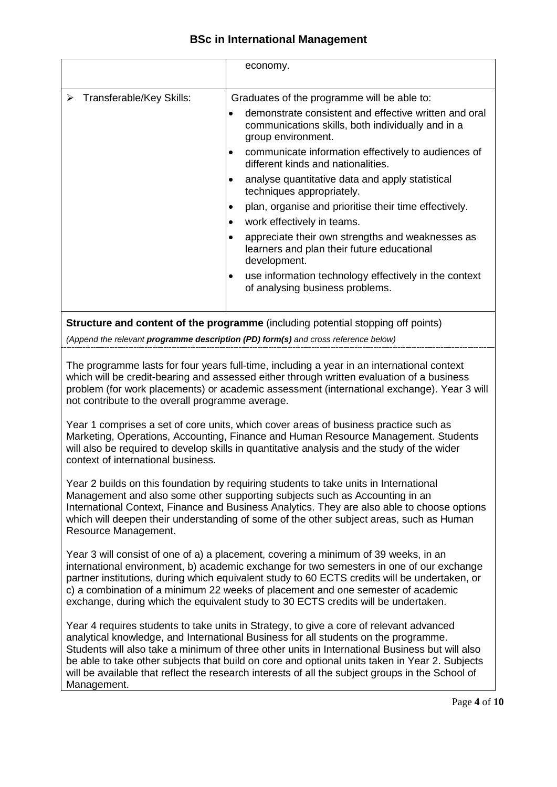## **BSc in International Management**

|                                                                                         | economy.                                                                                                                         |  |
|-----------------------------------------------------------------------------------------|----------------------------------------------------------------------------------------------------------------------------------|--|
|                                                                                         |                                                                                                                                  |  |
| Transferable/Key Skills:<br>➤                                                           | Graduates of the programme will be able to:                                                                                      |  |
|                                                                                         | demonstrate consistent and effective written and oral<br>communications skills, both individually and in a<br>group environment. |  |
|                                                                                         | communicate information effectively to audiences of<br>$\bullet$<br>different kinds and nationalities.                           |  |
|                                                                                         | analyse quantitative data and apply statistical<br>techniques appropriately.                                                     |  |
|                                                                                         | plan, organise and prioritise their time effectively.                                                                            |  |
|                                                                                         | work effectively in teams.                                                                                                       |  |
|                                                                                         | appreciate their own strengths and weaknesses as<br>learners and plan their future educational<br>development.                   |  |
|                                                                                         | use information technology effectively in the context<br>of analysing business problems.                                         |  |
| <b>Structure and content of the programme</b> (including potential stopping off points) |                                                                                                                                  |  |

*(Append the relevant programme description (PD) form(s) and cross reference below)*

The programme lasts for four years full-time, including a year in an international context which will be credit-bearing and assessed either through written evaluation of a business problem (for work placements) or academic assessment (international exchange). Year 3 will not contribute to the overall programme average.

Year 1 comprises a set of core units, which cover areas of business practice such as Marketing, Operations, Accounting, Finance and Human Resource Management. Students will also be required to develop skills in quantitative analysis and the study of the wider context of international business.

Year 2 builds on this foundation by requiring students to take units in International Management and also some other supporting subjects such as Accounting in an International Context, Finance and Business Analytics. They are also able to choose options which will deepen their understanding of some of the other subject areas, such as Human Resource Management.

Year 3 will consist of one of a) a placement, covering a minimum of 39 weeks, in an international environment, b) academic exchange for two semesters in one of our exchange partner institutions, during which equivalent study to 60 ECTS credits will be undertaken, or c) a combination of a minimum 22 weeks of placement and one semester of academic exchange, during which the equivalent study to 30 ECTS credits will be undertaken.

Year 4 requires students to take units in Strategy, to give a core of relevant advanced analytical knowledge, and International Business for all students on the programme. Students will also take a minimum of three other units in International Business but will also be able to take other subjects that build on core and optional units taken in Year 2. Subjects will be available that reflect the research interests of all the subject groups in the School of Management.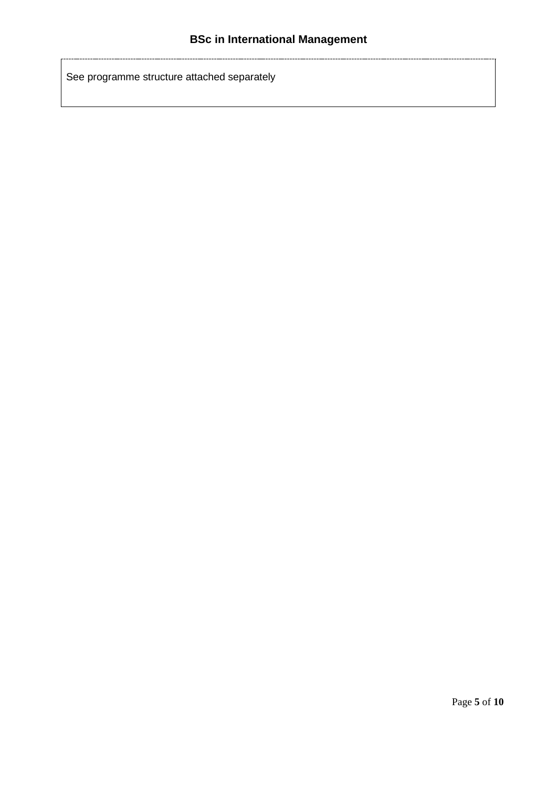See programme structure attached separately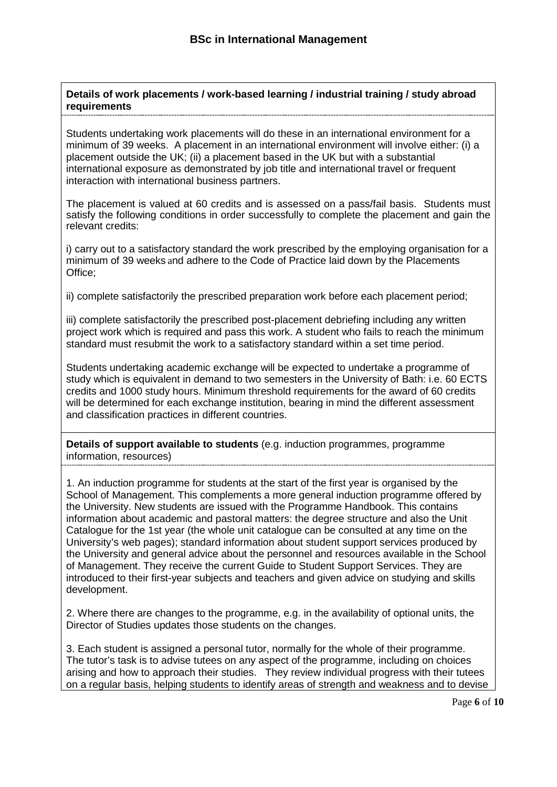**Details of work placements / work-based learning / industrial training / study abroad requirements**

Students undertaking work placements will do these in an international environment for a minimum of 39 weeks. A placement in an international environment will involve either: (i) a placement outside the UK; (ii) a placement based in the UK but with a substantial international exposure as demonstrated by job title and international travel or frequent interaction with international business partners.

The placement is valued at 60 credits and is assessed on a pass/fail basis. Students must satisfy the following conditions in order successfully to complete the placement and gain the relevant credits:

i) carry out to a satisfactory standard the work prescribed by the employing organisation for a minimum of 39 weeks and adhere to the Code of Practice laid down by the Placements Office;

ii) complete satisfactorily the prescribed preparation work before each placement period;

iii) complete satisfactorily the prescribed post-placement debriefing including any written project work which is required and pass this work. A student who fails to reach the minimum standard must resubmit the work to a satisfactory standard within a set time period.

Students undertaking academic exchange will be expected to undertake a programme of study which is equivalent in demand to two semesters in the University of Bath: i.e. 60 ECTS credits and 1000 study hours. Minimum threshold requirements for the award of 60 credits will be determined for each exchange institution, bearing in mind the different assessment and classification practices in different countries.

**Details of support available to students** (e.g. induction programmes, programme information, resources)

1. An induction programme for students at the start of the first year is organised by the School of Management. This complements a more general induction programme offered by the University. New students are issued with the Programme Handbook. This contains information about academic and pastoral matters: the degree structure and also the Unit Catalogue for the 1st year (the whole unit catalogue can be consulted at any time on the University's web pages); standard information about student support services produced by the University and general advice about the personnel and resources available in the School of Management. They receive the current Guide to Student Support Services. They are introduced to their first-year subjects and teachers and given advice on studying and skills development.

2. Where there are changes to the programme, e.g. in the availability of optional units, the Director of Studies updates those students on the changes.

3. Each student is assigned a personal tutor, normally for the whole of their programme. The tutor's task is to advise tutees on any aspect of the programme, including on choices arising and how to approach their studies. They review individual progress with their tutees on a regular basis, helping students to identify areas of strength and weakness and to devise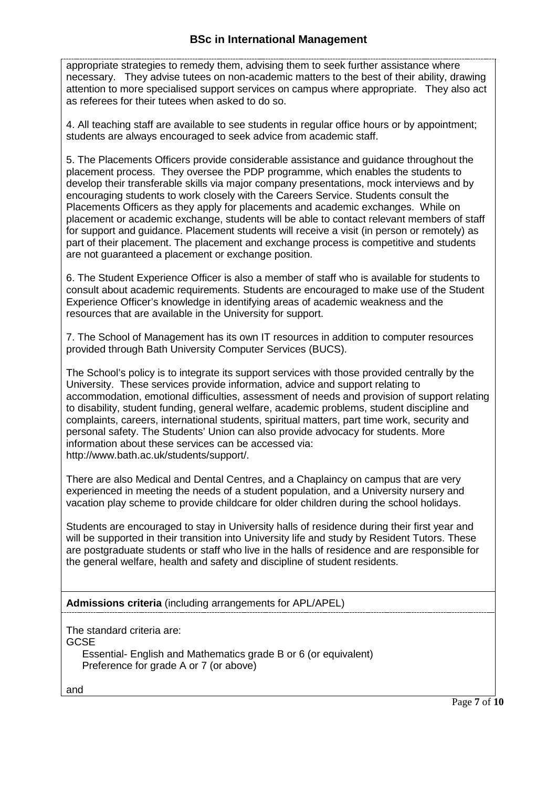appropriate strategies to remedy them, advising them to seek further assistance where necessary. They advise tutees on non-academic matters to the best of their ability, drawing attention to more specialised support services on campus where appropriate. They also act as referees for their tutees when asked to do so.

4. All teaching staff are available to see students in regular office hours or by appointment; students are always encouraged to seek advice from academic staff.

5. The Placements Officers provide considerable assistance and guidance throughout the placement process. They oversee the PDP programme, which enables the students to develop their transferable skills via major company presentations, mock interviews and by encouraging students to work closely with the Careers Service. Students consult the Placements Officers as they apply for placements and academic exchanges. While on placement or academic exchange, students will be able to contact relevant members of staff for support and guidance. Placement students will receive a visit (in person or remotely) as part of their placement. The placement and exchange process is competitive and students are not guaranteed a placement or exchange position.

6. The Student Experience Officer is also a member of staff who is available for students to consult about academic requirements. Students are encouraged to make use of the Student Experience Officer's knowledge in identifying areas of academic weakness and the resources that are available in the University for support.

7. The School of Management has its own IT resources in addition to computer resources provided through Bath University Computer Services (BUCS).

The School's policy is to integrate its support services with those provided centrally by the University. These services provide information, advice and support relating to accommodation, emotional difficulties, assessment of needs and provision of support relating to disability, student funding, general welfare, academic problems, student discipline and complaints, careers, international students, spiritual matters, part time work, security and personal safety. The Students' Union can also provide advocacy for students. More information about these services can be accessed via: http://www.bath.ac.uk/students/support/.

There are also Medical and Dental Centres, and a Chaplaincy on campus that are very experienced in meeting the needs of a student population, and a University nursery and vacation play scheme to provide childcare for older children during the school holidays.

Students are encouraged to stay in University halls of residence during their first year and will be supported in their transition into University life and study by Resident Tutors. These are postgraduate students or staff who live in the halls of residence and are responsible for the general welfare, health and safety and discipline of student residents.

## **Admissions criteria** (including arrangements for APL/APEL)

The standard criteria are:

**GCSE** 

Essential- English and Mathematics grade B or 6 (or equivalent) Preference for grade A or 7 (or above)

and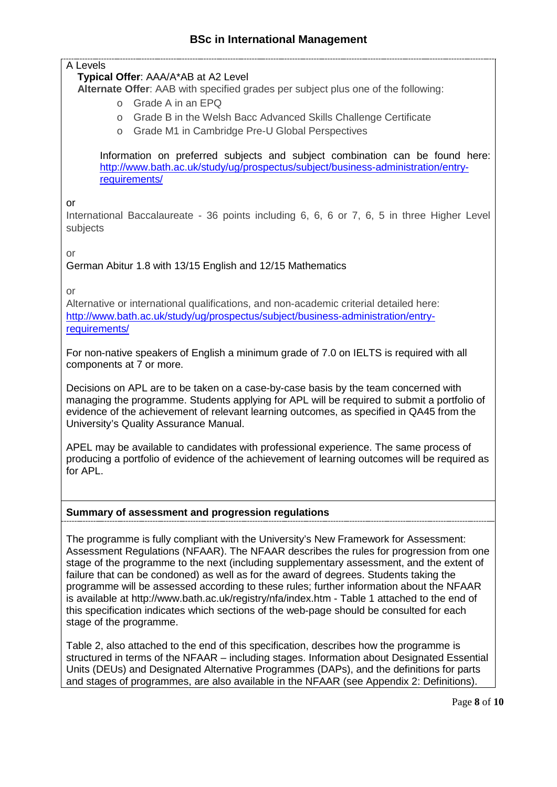## A Levels

## **Typical Offer**: AAA/A\*AB at A2 Level

**Alternate Offer**: AAB with specified grades per subject plus one of the following:

- o Grade A in an EPQ
- o Grade B in the Welsh Bacc Advanced Skills Challenge Certificate
- o Grade M1 in Cambridge Pre-U Global Perspectives

Information on preferred subjects and subject combination can be found here: [http://www.bath.ac.uk/study/ug/prospectus/subject/business-administration/entry](http://www.bath.ac.uk/study/ug/prospectus/subject/business-administration/entry-requirements/)[requirements/](http://www.bath.ac.uk/study/ug/prospectus/subject/business-administration/entry-requirements/)

or

International Baccalaureate - 36 points including 6, 6, 6 or 7, 6, 5 in three Higher Level subjects

or

German Abitur 1.8 with 13/15 English and 12/15 Mathematics

or

Alternative or international qualifications, and non-academic criterial detailed here: [http://www.bath.ac.uk/study/ug/prospectus/subject/business-administration/entry](http://www.bath.ac.uk/study/ug/prospectus/subject/business-administration/entry-requirements/)[requirements/](http://www.bath.ac.uk/study/ug/prospectus/subject/business-administration/entry-requirements/)

For non-native speakers of English a minimum grade of 7.0 on IELTS is required with all components at 7 or more.

Decisions on APL are to be taken on a case-by-case basis by the team concerned with managing the programme. Students applying for APL will be required to submit a portfolio of evidence of the achievement of relevant learning outcomes, as specified in QA45 from the University's Quality Assurance Manual.

APEL may be available to candidates with professional experience. The same process of producing a portfolio of evidence of the achievement of learning outcomes will be required as for APL.

## **Summary of assessment and progression regulations**

The programme is fully compliant with the University's New Framework for Assessment: Assessment Regulations (NFAAR). The NFAAR describes the rules for progression from one stage of the programme to the next (including supplementary assessment, and the extent of failure that can be condoned) as well as for the award of degrees. Students taking the programme will be assessed according to these rules; further information about the NFAAR is available at http://www.bath.ac.uk/registry/nfa/index.htm - Table 1 attached to the end of this specification indicates which sections of the web-page should be consulted for each stage of the programme.

Table 2, also attached to the end of this specification, describes how the programme is structured in terms of the NFAAR – including stages. Information about Designated Essential Units (DEUs) and Designated Alternative Programmes (DAPs), and the definitions for parts and stages of programmes, are also available in the NFAAR (see Appendix 2: Definitions).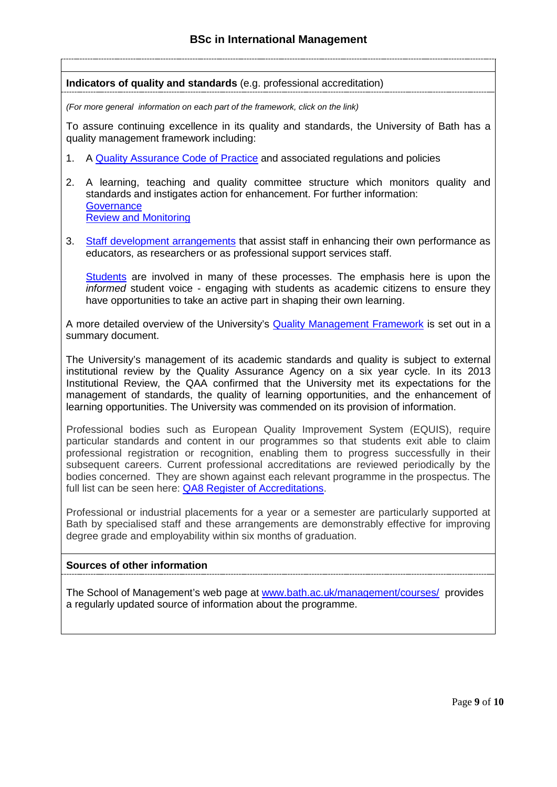#### **Indicators of quality and standards** (e.g. professional accreditation)

*(For more general information on each part of the framework, click on the link)*

To assure continuing excellence in its quality and standards, the University of Bath has a quality management framework including:

- 1. A [Quality Assurance Code of Practice](http://www.bath.ac.uk/quality/cop/statements.html) and associated regulations and policies
- 2. A learning, teaching and quality committee structure which monitors quality and standards and instigates action for enhancement. For further information: **[Governance](http://www.bath.ac.uk/quality/documents/QA3-PS-Guid-QS-Gov.docx)** [Review and Monitoring](http://www.bath.ac.uk/quality/documents/QA3-PS-Guid-QS-RevMon.docx)
- 3. [Staff development arrangements](http://www.bath.ac.uk/quality/documents/QA3-PS-Guid-QS-ASD.docx) that assist staff in enhancing their own performance as educators, as researchers or as professional support services staff.

[Students](http://www.bath.ac.uk/quality/documents/QA3-PS-Guid-QS-StuVoice.docx) are involved in many of these processes. The emphasis here is upon the *informed* student voice - engaging with students as academic citizens to ensure they have opportunities to take an active part in shaping their own learning.

A more detailed overview of the University's [Quality Management Framework](http://www.bath.ac.uk/quality/documents/approach-to-quality-management.pdf) is set out in a summary document.

The University's management of its academic standards and quality is subject to external institutional review by the [Quality Assurance Agency o](http://www.qaa.ac.uk/)n a six year cycle. In its 2013 Institutional Review, the QAA confirmed that the University met its expectations for the management of standards, the quality of learning opportunities, and the enhancement of learning opportunities. The University was commended on its provision of information.

Professional bodies such as European Quality Improvement System (EQUIS), require particular standards and content in our programmes so that students exit able to claim professional registration or recognition, enabling them to progress successfully in their subsequent careers. Current professional accreditations are reviewed periodically by the bodies concerned. They are shown against each relevant programme in the prospectus. The full list can be seen here: QA8 Register of [Accreditations.](http://www.bath.ac.uk/quality/documents/QA8-register-accreditations.pdf)

Professional or industrial placements for a year or a semester are particularly supported at Bath by specialised staff and these arrangements are demonstrably effective for improving degree grade and employability within six months of graduation.

## **Sources of other information**

The School of Management's web page at [www.bath.ac.uk/management/courses/](http://www.bath.ac.uk/management/courses/) provides a regularly updated source of information about the programme.